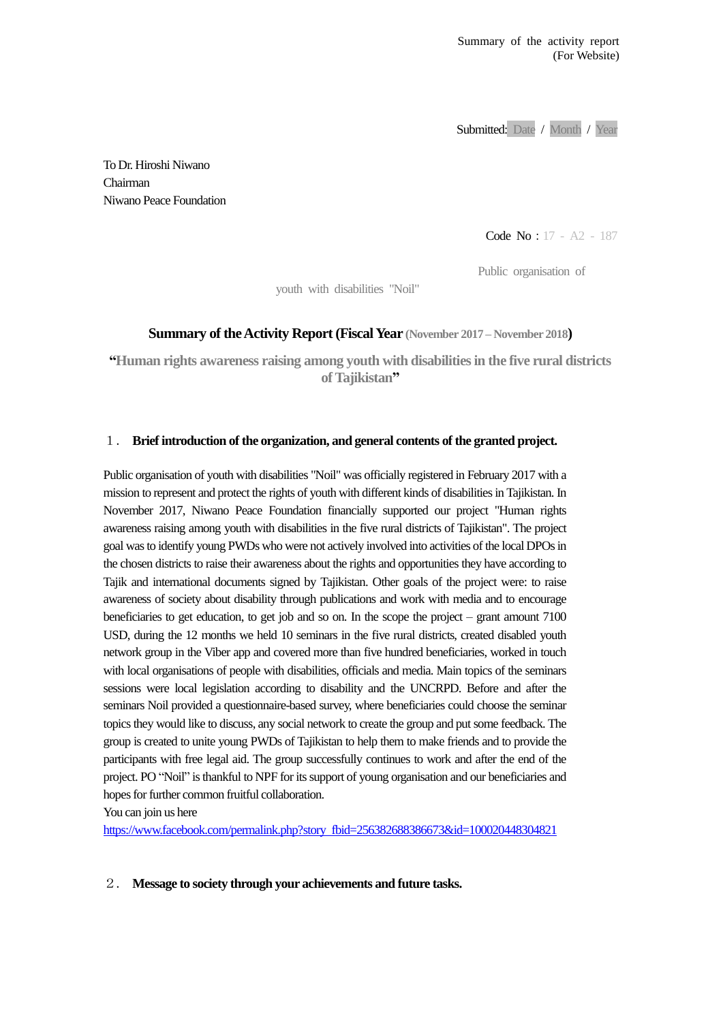Submitted: Date / Month / Year

To Dr. Hiroshi Niwano Chairman Niwano Peace Foundation

Code No:17 - A2 - 187

Public organisation of

youth with disabilities "Noil"

## **Summary of the Activity Report (Fiscal Year (November 2017 – November 2018)**

**"Human rights awareness raising among youth with disabilities in the five rural districts of Tajikistan"**

## 1. **Brief introduction of the organization, and general contents of the granted project.**

Public organisation of youth with disabilities "Noil" was officially registered in February 2017 with a mission to represent and protect the rights of youth with different kinds of disabilities in Tajikistan. In November 2017, Niwano Peace Foundation financially supported our project "Human rights awareness raising among youth with disabilities in the five rural districts of Tajikistan". The project goal was to identify young PWDs who were not actively involved into activities of the local DPOs in the chosen districts to raise their awareness about the rights and opportunities they have according to Tajik and international documents signed by Tajikistan. Other goals of the project were: to raise awareness of society about disability through publications and work with media and to encourage beneficiaries to get education, to get job and so on. In the scope the project – grant amount 7100 USD, during the 12 months we held 10 seminars in the five rural districts, created disabled youth network group in the Viber app and covered more than five hundred beneficiaries, worked in touch with local organisations of people with disabilities, officials and media. Main topics of the seminars sessions were local legislation according to disability and the UNCRPD. Before and after the seminars Noil provided a questionnaire-based survey, where beneficiaries could choose the seminar topics they would like to discuss, any social network to create the group and put some feedback. The group is created to unite young PWDs of Tajikistan to help them to make friends and to provide the participants with free legal aid. The group successfully continues to work and after the end of the project. PO "Noil" is thankful to NPF for its support of young organisation and our beneficiaries and hopes for further common fruitful collaboration.

You can join us here

https://www.facebook.com/permalink.php?story fbid=256382688386673&id=100020448304821

## 2. **Message to society through your achievements and future tasks.**